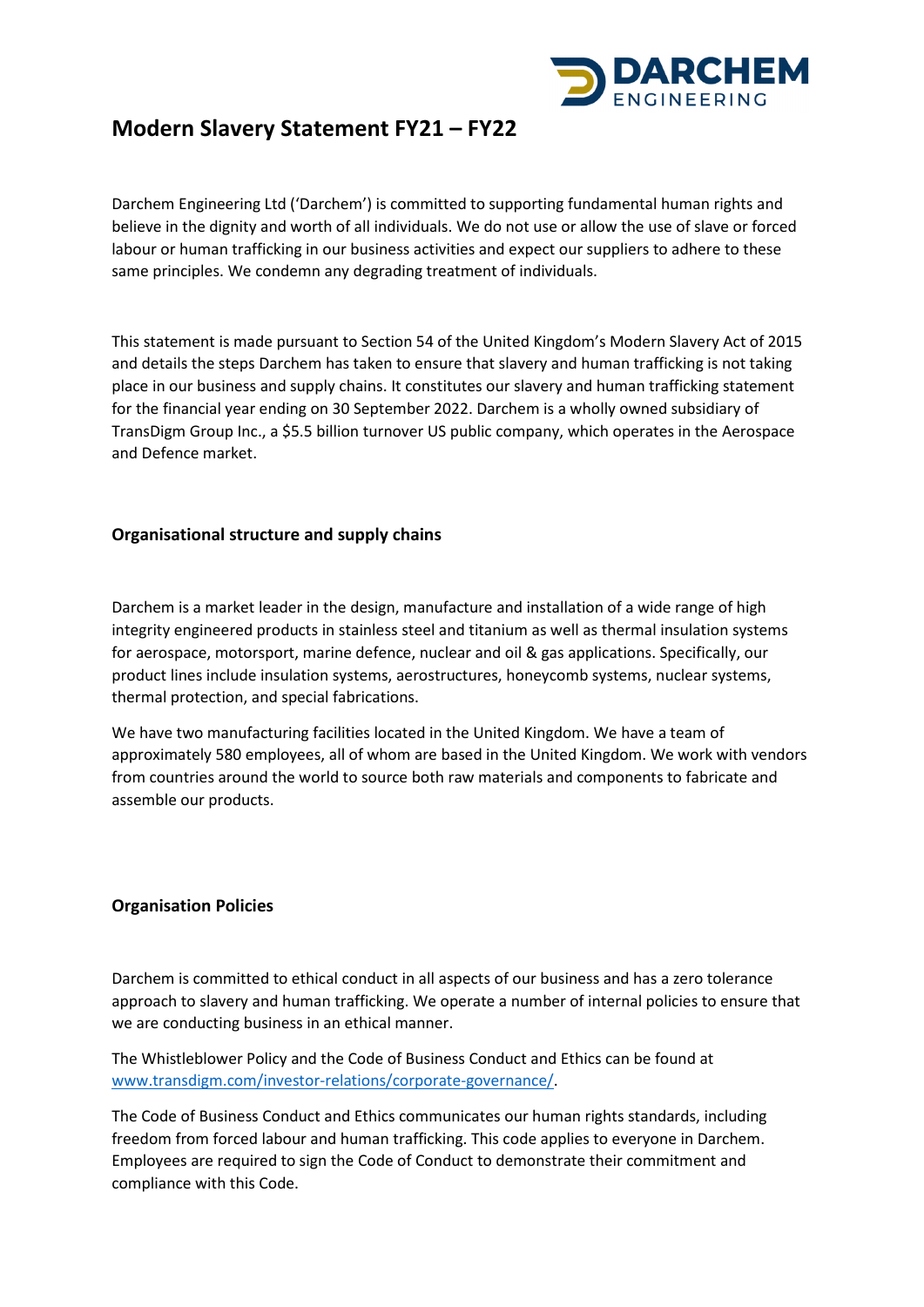

# **Modern Slavery Statement FY21 – FY22**

Darchem Engineering Ltd ('Darchem') is committed to supporting fundamental human rights and believe in the dignity and worth of all individuals. We do not use or allow the use of slave or forced labour or human trafficking in our business activities and expect our suppliers to adhere to these same principles. We condemn any degrading treatment of individuals.

This statement is made pursuant to Section 54 of the United Kingdom's Modern Slavery Act of 2015 and details the steps Darchem has taken to ensure that slavery and human trafficking is not taking place in our business and supply chains. It constitutes our slavery and human trafficking statement for the financial year ending on 30 September 2022. Darchem is a wholly owned subsidiary of TransDigm Group Inc., a \$5.5 billion turnover US public company, which operates in the Aerospace and Defence market.

## **Organisational structure and supply chains**

Darchem is a market leader in the design, manufacture and installation of a wide range of high integrity engineered products in stainless steel and titanium as well as thermal insulation systems for aerospace, motorsport, marine defence, nuclear and oil & gas applications. Specifically, our product lines include insulation systems, aerostructures, honeycomb systems, nuclear systems, thermal protection, and special fabrications.

We have two manufacturing facilities located in the United Kingdom. We have a team of approximately 580 employees, all of whom are based in the United Kingdom. We work with vendors from countries around the world to source both raw materials and components to fabricate and assemble our products.

## **Organisation Policies**

Darchem is committed to ethical conduct in all aspects of our business and has a zero tolerance approach to slavery and human trafficking. We operate a number of internal policies to ensure that we are conducting business in an ethical manner.

The Whistleblower Policy and the Code of Business Conduct and Ethics can be found at [www.transdigm.com/investor-relations/corporate-governance/.](http://www.transdigm.com/investor-relations/corporate-governance/)

The Code of Business Conduct and Ethics communicates our human rights standards, including freedom from forced labour and human trafficking. This code applies to everyone in Darchem. Employees are required to sign the Code of Conduct to demonstrate their commitment and compliance with this Code.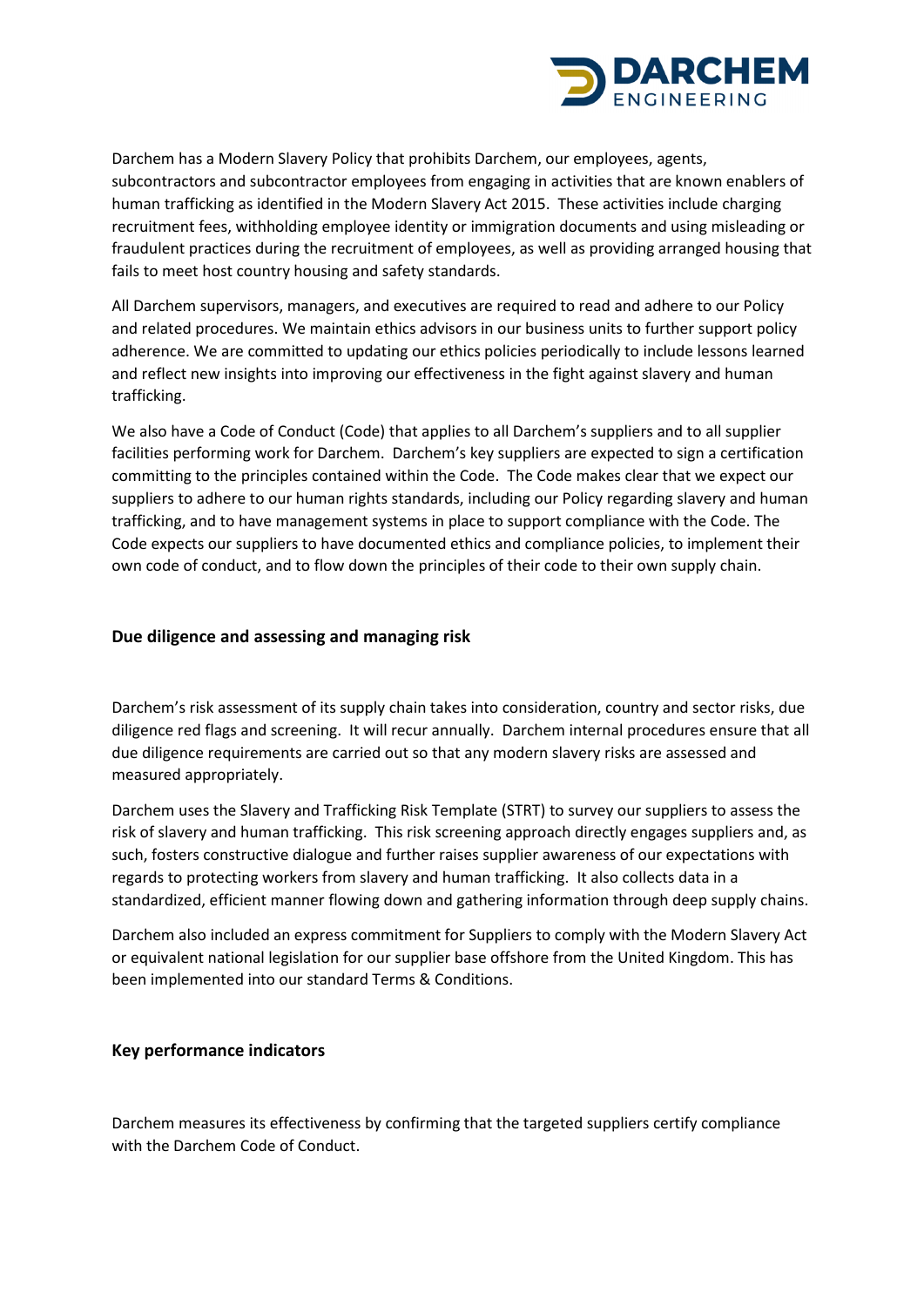

Darchem has a Modern Slavery Policy that prohibits Darchem, our employees, agents, subcontractors and subcontractor employees from engaging in activities that are known enablers of human trafficking as identified in the Modern Slavery Act 2015. These activities include charging recruitment fees, withholding employee identity or immigration documents and using misleading or fraudulent practices during the recruitment of employees, as well as providing arranged housing that fails to meet host country housing and safety standards.

All Darchem supervisors, managers, and executives are required to read and adhere to our Policy and related procedures. We maintain ethics advisors in our business units to further support policy adherence. We are committed to updating our ethics policies periodically to include lessons learned and reflect new insights into improving our effectiveness in the fight against slavery and human trafficking.

We also have a Code of Conduct (Code) that applies to all Darchem's suppliers and to all supplier facilities performing work for Darchem. Darchem's key suppliers are expected to sign a certification committing to the principles contained within the Code. The Code makes clear that we expect our suppliers to adhere to our human rights standards, including our Policy regarding slavery and human trafficking, and to have management systems in place to support compliance with the Code. The Code expects our suppliers to have documented ethics and compliance policies, to implement their own code of conduct, and to flow down the principles of their code to their own supply chain.

### **Due diligence and assessing and managing risk**

Darchem's risk assessment of its supply chain takes into consideration, country and sector risks, due diligence red flags and screening. It will recur annually. Darchem internal procedures ensure that all due diligence requirements are carried out so that any modern slavery risks are assessed and measured appropriately.

Darchem uses the Slavery and Trafficking Risk Template (STRT) to survey our suppliers to assess the risk of slavery and human trafficking. This risk screening approach directly engages suppliers and, as such, fosters constructive dialogue and further raises supplier awareness of our expectations with regards to protecting workers from slavery and human trafficking. It also collects data in a standardized, efficient manner flowing down and gathering information through deep supply chains.

Darchem also included an express commitment for Suppliers to comply with the Modern Slavery Act or equivalent national legislation for our supplier base offshore from the United Kingdom. This has been implemented into our standard Terms & Conditions.

#### **Key performance indicators**

Darchem measures its effectiveness by confirming that the targeted suppliers certify compliance with the Darchem Code of Conduct.